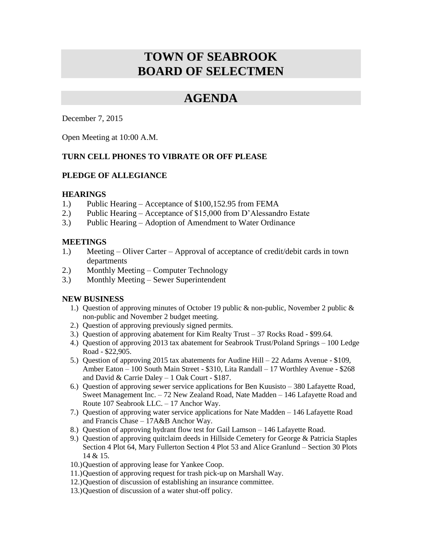# **TOWN OF SEABROOK BOARD OF SELECTMEN**

## **AGENDA**

December 7, 2015

Open Meeting at 10:00 A.M.

## **TURN CELL PHONES TO VIBRATE OR OFF PLEASE**

## **PLEDGE OF ALLEGIANCE**

#### **HEARINGS**

- 1.) Public Hearing Acceptance of \$100,152.95 from FEMA
- 2.) Public Hearing Acceptance of \$15,000 from D'Alessandro Estate
- 3.) Public Hearing Adoption of Amendment to Water Ordinance

#### **MEETINGS**

- 1.) Meeting Oliver Carter Approval of acceptance of credit/debit cards in town departments
- 2.) Monthly Meeting Computer Technology
- 3.) Monthly Meeting Sewer Superintendent

## **NEW BUSINESS**

- 1.) Question of approving minutes of October 19 public & non-public, November 2 public & non-public and November 2 budget meeting.
- 2.) Question of approving previously signed permits.
- 3.) Question of approving abatement for Kim Realty Trust 37 Rocks Road \$99.64.
- 4.) Question of approving 2013 tax abatement for Seabrook Trust/Poland Springs 100 Ledge Road - \$22,905.
- 5.) Question of approving 2015 tax abatements for Audine Hill 22 Adams Avenue \$109, Amber Eaton – 100 South Main Street - \$310, Lita Randall – 17 Worthley Avenue - \$268 and David & Carrie Daley – 1 Oak Court - \$187.
- 6.) Question of approving sewer service applications for Ben Kuusisto 380 Lafayette Road, Sweet Management Inc. – 72 New Zealand Road, Nate Madden – 146 Lafayette Road and Route 107 Seabrook LLC. – 17 Anchor Way.
- 7.) Question of approving water service applications for Nate Madden 146 Lafayette Road and Francis Chase – 17A&B Anchor Way.
- 8.) Question of approving hydrant flow test for Gail Lamson 146 Lafayette Road.
- 9.) Question of approving quitclaim deeds in Hillside Cemetery for George & Patricia Staples Section 4 Plot 64, Mary Fullerton Section 4 Plot 53 and Alice Granlund – Section 30 Plots 14 & 15.
- 10.)Question of approving lease for Yankee Coop.
- 11.)Question of approving request for trash pick-up on Marshall Way.
- 12.)Question of discussion of establishing an insurance committee.
- 13.)Question of discussion of a water shut-off policy.